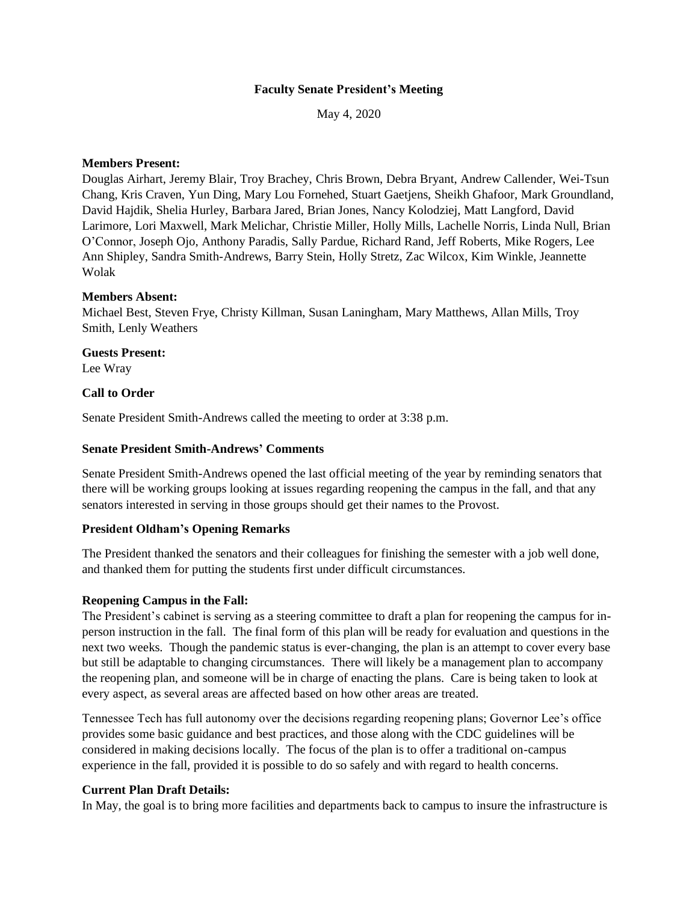### **Faculty Senate President's Meeting**

May 4, 2020

### **Members Present:**

Douglas Airhart, Jeremy Blair, Troy Brachey, Chris Brown, Debra Bryant, Andrew Callender, Wei-Tsun Chang, Kris Craven, Yun Ding, Mary Lou Fornehed, Stuart Gaetjens, Sheikh Ghafoor, Mark Groundland, David Hajdik, Shelia Hurley, Barbara Jared, Brian Jones, Nancy Kolodziej, Matt Langford, David Larimore, Lori Maxwell, Mark Melichar, Christie Miller, Holly Mills, Lachelle Norris, Linda Null, Brian O'Connor, Joseph Ojo, Anthony Paradis, Sally Pardue, Richard Rand, Jeff Roberts, Mike Rogers, Lee Ann Shipley, Sandra Smith-Andrews, Barry Stein, Holly Stretz, Zac Wilcox, Kim Winkle, Jeannette Wolak

# **Members Absent:**

Michael Best, Steven Frye, Christy Killman, Susan Laningham, Mary Matthews, Allan Mills, Troy Smith, Lenly Weathers

# **Guests Present:**

Lee Wray

# **Call to Order**

Senate President Smith-Andrews called the meeting to order at 3:38 p.m.

### **Senate President Smith-Andrews' Comments**

Senate President Smith-Andrews opened the last official meeting of the year by reminding senators that there will be working groups looking at issues regarding reopening the campus in the fall, and that any senators interested in serving in those groups should get their names to the Provost.

### **President Oldham's Opening Remarks**

The President thanked the senators and their colleagues for finishing the semester with a job well done, and thanked them for putting the students first under difficult circumstances.

### **Reopening Campus in the Fall:**

The President's cabinet is serving as a steering committee to draft a plan for reopening the campus for inperson instruction in the fall. The final form of this plan will be ready for evaluation and questions in the next two weeks. Though the pandemic status is ever-changing, the plan is an attempt to cover every base but still be adaptable to changing circumstances. There will likely be a management plan to accompany the reopening plan, and someone will be in charge of enacting the plans. Care is being taken to look at every aspect, as several areas are affected based on how other areas are treated.

Tennessee Tech has full autonomy over the decisions regarding reopening plans; Governor Lee's office provides some basic guidance and best practices, and those along with the CDC guidelines will be considered in making decisions locally. The focus of the plan is to offer a traditional on-campus experience in the fall, provided it is possible to do so safely and with regard to health concerns.

### **Current Plan Draft Details:**

In May, the goal is to bring more facilities and departments back to campus to insure the infrastructure is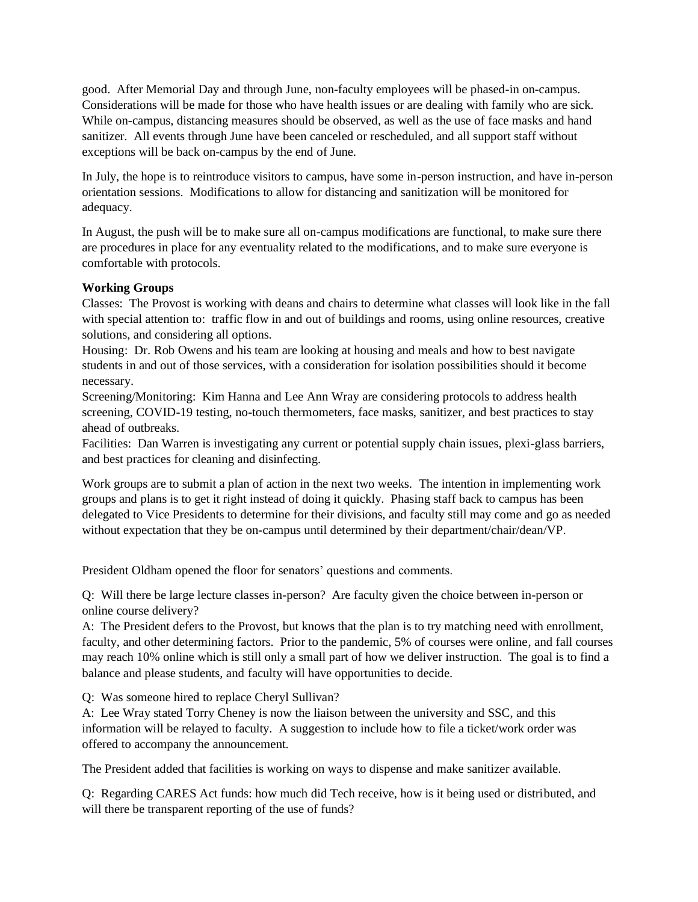good. After Memorial Day and through June, non-faculty employees will be phased-in on-campus. Considerations will be made for those who have health issues or are dealing with family who are sick. While on-campus, distancing measures should be observed, as well as the use of face masks and hand sanitizer. All events through June have been canceled or rescheduled, and all support staff without exceptions will be back on-campus by the end of June.

In July, the hope is to reintroduce visitors to campus, have some in-person instruction, and have in-person orientation sessions. Modifications to allow for distancing and sanitization will be monitored for adequacy.

In August, the push will be to make sure all on-campus modifications are functional, to make sure there are procedures in place for any eventuality related to the modifications, and to make sure everyone is comfortable with protocols.

# **Working Groups**

Classes: The Provost is working with deans and chairs to determine what classes will look like in the fall with special attention to: traffic flow in and out of buildings and rooms, using online resources, creative solutions, and considering all options.

Housing: Dr. Rob Owens and his team are looking at housing and meals and how to best navigate students in and out of those services, with a consideration for isolation possibilities should it become necessary.

Screening/Monitoring: Kim Hanna and Lee Ann Wray are considering protocols to address health screening, COVID-19 testing, no-touch thermometers, face masks, sanitizer, and best practices to stay ahead of outbreaks.

Facilities: Dan Warren is investigating any current or potential supply chain issues, plexi-glass barriers, and best practices for cleaning and disinfecting.

Work groups are to submit a plan of action in the next two weeks. The intention in implementing work groups and plans is to get it right instead of doing it quickly. Phasing staff back to campus has been delegated to Vice Presidents to determine for their divisions, and faculty still may come and go as needed without expectation that they be on-campus until determined by their department/chair/dean/VP.

President Oldham opened the floor for senators' questions and comments.

Q: Will there be large lecture classes in-person? Are faculty given the choice between in-person or online course delivery?

A: The President defers to the Provost, but knows that the plan is to try matching need with enrollment, faculty, and other determining factors. Prior to the pandemic, 5% of courses were online, and fall courses may reach 10% online which is still only a small part of how we deliver instruction. The goal is to find a balance and please students, and faculty will have opportunities to decide.

Q: Was someone hired to replace Cheryl Sullivan?

A: Lee Wray stated Torry Cheney is now the liaison between the university and SSC, and this information will be relayed to faculty. A suggestion to include how to file a ticket/work order was offered to accompany the announcement.

The President added that facilities is working on ways to dispense and make sanitizer available.

Q: Regarding CARES Act funds: how much did Tech receive, how is it being used or distributed, and will there be transparent reporting of the use of funds?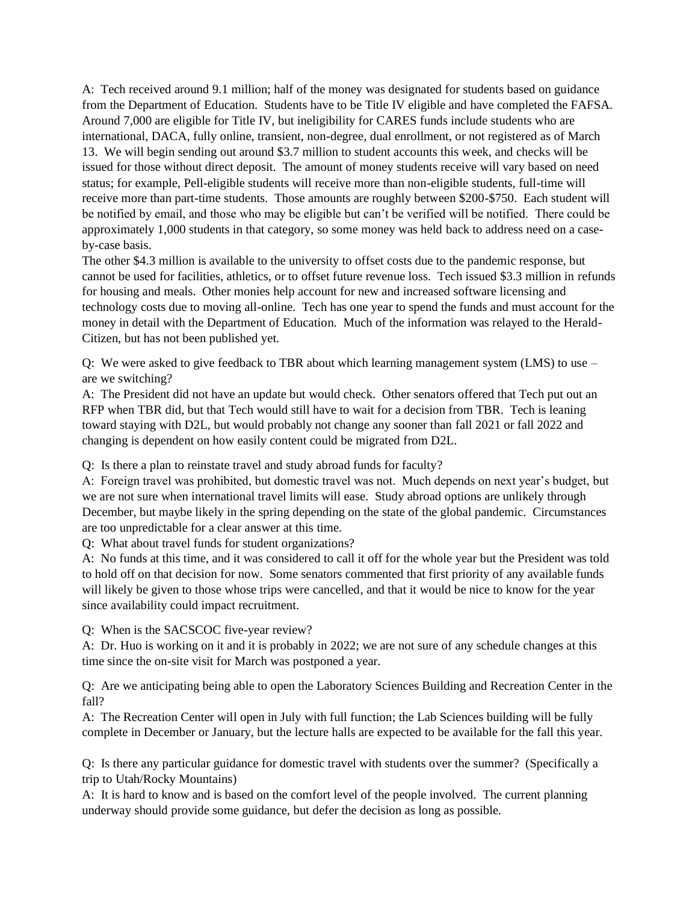A: Tech received around 9.1 million; half of the money was designated for students based on guidance from the Department of Education. Students have to be Title IV eligible and have completed the FAFSA. Around 7,000 are eligible for Title IV, but ineligibility for CARES funds include students who are international, DACA, fully online, transient, non-degree, dual enrollment, or not registered as of March 13. We will begin sending out around \$3.7 million to student accounts this week, and checks will be issued for those without direct deposit. The amount of money students receive will vary based on need status; for example, Pell-eligible students will receive more than non-eligible students, full-time will receive more than part-time students. Those amounts are roughly between \$200-\$750. Each student will be notified by email, and those who may be eligible but can't be verified will be notified. There could be approximately 1,000 students in that category, so some money was held back to address need on a caseby-case basis.

The other \$4.3 million is available to the university to offset costs due to the pandemic response, but cannot be used for facilities, athletics, or to offset future revenue loss. Tech issued \$3.3 million in refunds for housing and meals. Other monies help account for new and increased software licensing and technology costs due to moving all-online. Tech has one year to spend the funds and must account for the money in detail with the Department of Education. Much of the information was relayed to the Herald-Citizen, but has not been published yet.

Q: We were asked to give feedback to TBR about which learning management system (LMS) to use – are we switching?

A: The President did not have an update but would check. Other senators offered that Tech put out an RFP when TBR did, but that Tech would still have to wait for a decision from TBR. Tech is leaning toward staying with D2L, but would probably not change any sooner than fall 2021 or fall 2022 and changing is dependent on how easily content could be migrated from D2L.

Q: Is there a plan to reinstate travel and study abroad funds for faculty?

A: Foreign travel was prohibited, but domestic travel was not. Much depends on next year's budget, but we are not sure when international travel limits will ease. Study abroad options are unlikely through December, but maybe likely in the spring depending on the state of the global pandemic. Circumstances are too unpredictable for a clear answer at this time.

Q: What about travel funds for student organizations?

A: No funds at this time, and it was considered to call it off for the whole year but the President was told to hold off on that decision for now. Some senators commented that first priority of any available funds will likely be given to those whose trips were cancelled, and that it would be nice to know for the year since availability could impact recruitment.

Q: When is the SACSCOC five-year review?

A: Dr. Huo is working on it and it is probably in 2022; we are not sure of any schedule changes at this time since the on-site visit for March was postponed a year.

Q: Are we anticipating being able to open the Laboratory Sciences Building and Recreation Center in the fall?

A: The Recreation Center will open in July with full function; the Lab Sciences building will be fully complete in December or January, but the lecture halls are expected to be available for the fall this year.

Q: Is there any particular guidance for domestic travel with students over the summer? (Specifically a trip to Utah/Rocky Mountains)

A: It is hard to know and is based on the comfort level of the people involved. The current planning underway should provide some guidance, but defer the decision as long as possible.